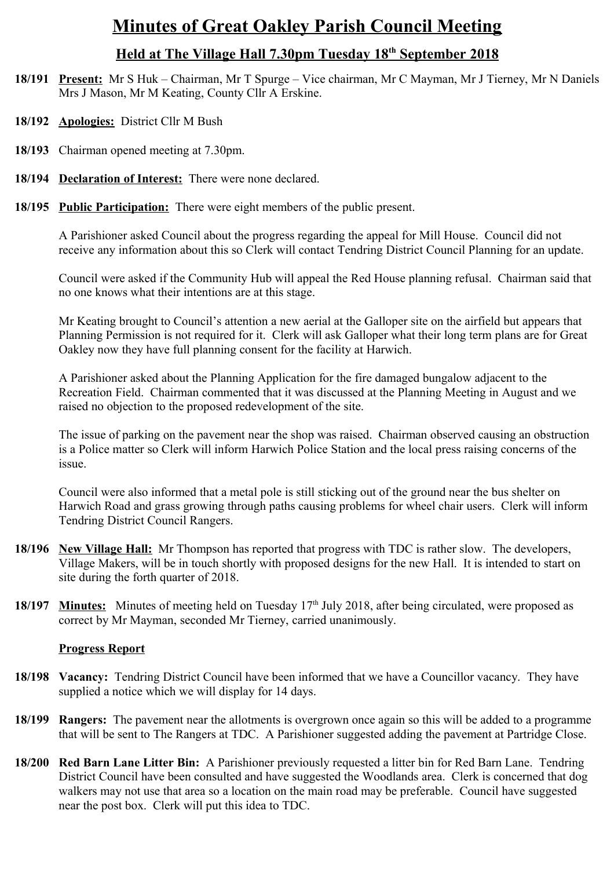# **Minutes of Great Oakley Parish Council Meeting**

## **Held at The Village Hall 7.30pm Tuesday 18th September 2018**

- **18/191 Present:** Mr S Huk Chairman, Mr T Spurge Vice chairman, Mr C Mayman, Mr J Tierney, Mr N Daniels Mrs J Mason, Mr M Keating, County Cllr A Erskine.
- **18/192 Apologies:** District Cllr M Bush
- **18/193** Chairman opened meeting at 7.30pm.
- **18/194 Declaration of Interest:** There were none declared.
- **18/195 Public Participation:** There were eight members of the public present.

A Parishioner asked Council about the progress regarding the appeal for Mill House. Council did not receive any information about this so Clerk will contact Tendring District Council Planning for an update.

Council were asked if the Community Hub will appeal the Red House planning refusal. Chairman said that no one knows what their intentions are at this stage.

Mr Keating brought to Council's attention a new aerial at the Galloper site on the airfield but appears that Planning Permission is not required for it. Clerk will ask Galloper what their long term plans are for Great Oakley now they have full planning consent for the facility at Harwich.

A Parishioner asked about the Planning Application for the fire damaged bungalow adjacent to the Recreation Field. Chairman commented that it was discussed at the Planning Meeting in August and we raised no objection to the proposed redevelopment of the site.

The issue of parking on the pavement near the shop was raised. Chairman observed causing an obstruction is a Police matter so Clerk will inform Harwich Police Station and the local press raising concerns of the issue.

Council were also informed that a metal pole is still sticking out of the ground near the bus shelter on Harwich Road and grass growing through paths causing problems for wheel chair users. Clerk will inform Tendring District Council Rangers.

- **18/196 New Village Hall:** Mr Thompson has reported that progress with TDC is rather slow. The developers, Village Makers, will be in touch shortly with proposed designs for the new Hall. It is intended to start on site during the forth quarter of 2018.
- 18/197 **Minutes:** Minutes of meeting held on Tuesday 17<sup>th</sup> July 2018, after being circulated, were proposed as correct by Mr Mayman, seconded Mr Tierney, carried unanimously.

#### **Progress Report**

- **18/198 Vacancy:** Tendring District Council have been informed that we have a Councillor vacancy. They have supplied a notice which we will display for 14 days.
- **18/199 Rangers:** The pavement near the allotments is overgrown once again so this will be added to a programme that will be sent to The Rangers at TDC. A Parishioner suggested adding the pavement at Partridge Close.
- **18/200 Red Barn Lane Litter Bin:** A Parishioner previously requested a litter bin for Red Barn Lane. Tendring District Council have been consulted and have suggested the Woodlands area. Clerk is concerned that dog walkers may not use that area so a location on the main road may be preferable. Council have suggested near the post box. Clerk will put this idea to TDC.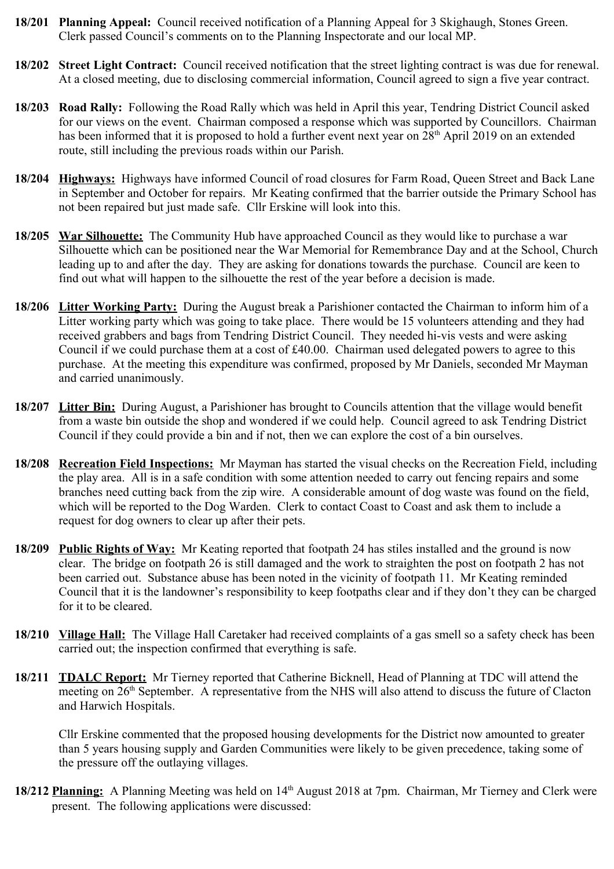- **18/201 Planning Appeal:** Council received notification of a Planning Appeal for 3 Skighaugh, Stones Green. Clerk passed Council's comments on to the Planning Inspectorate and our local MP.
- **18/202 Street Light Contract:** Council received notification that the street lighting contract is was due for renewal. At a closed meeting, due to disclosing commercial information, Council agreed to sign a five year contract.
- **18/203 Road Rally:** Following the Road Rally which was held in April this year, Tendring District Council asked for our views on the event. Chairman composed a response which was supported by Councillors. Chairman has been informed that it is proposed to hold a further event next year on 28<sup>th</sup> April 2019 on an extended route, still including the previous roads within our Parish.
- **18/204 Highways:** Highways have informed Council of road closures for Farm Road, Queen Street and Back Lane in September and October for repairs. Mr Keating confirmed that the barrier outside the Primary School has not been repaired but just made safe. Cllr Erskine will look into this.
- **18/205 War Silhouette:** The Community Hub have approached Council as they would like to purchase a war Silhouette which can be positioned near the War Memorial for Remembrance Day and at the School, Church leading up to and after the day. They are asking for donations towards the purchase. Council are keen to find out what will happen to the silhouette the rest of the year before a decision is made.
- **18/206 Litter Working Party:** During the August break a Parishioner contacted the Chairman to inform him of a Litter working party which was going to take place. There would be 15 volunteers attending and they had received grabbers and bags from Tendring District Council. They needed hi-vis vests and were asking Council if we could purchase them at a cost of £40.00. Chairman used delegated powers to agree to this purchase. At the meeting this expenditure was confirmed, proposed by Mr Daniels, seconded Mr Mayman and carried unanimously.
- **18/207 Litter Bin:** During August, a Parishioner has brought to Councils attention that the village would benefit from a waste bin outside the shop and wondered if we could help. Council agreed to ask Tendring District Council if they could provide a bin and if not, then we can explore the cost of a bin ourselves.
- **18/208 Recreation Field Inspections:** Mr Mayman has started the visual checks on the Recreation Field, including the play area. All is in a safe condition with some attention needed to carry out fencing repairs and some branches need cutting back from the zip wire. A considerable amount of dog waste was found on the field, which will be reported to the Dog Warden. Clerk to contact Coast to Coast and ask them to include a request for dog owners to clear up after their pets.
- **18/209 Public Rights of Way:** Mr Keating reported that footpath 24 has stiles installed and the ground is now clear. The bridge on footpath 26 is still damaged and the work to straighten the post on footpath 2 has not been carried out. Substance abuse has been noted in the vicinity of footpath 11. Mr Keating reminded Council that it is the landowner's responsibility to keep footpaths clear and if they don't they can be charged for it to be cleared.
- **18/210 Village Hall:** The Village Hall Caretaker had received complaints of a gas smell so a safety check has been carried out; the inspection confirmed that everything is safe.
- **18/211 TDALC Report:** Mr Tierney reported that Catherine Bicknell, Head of Planning at TDC will attend the meeting on 26<sup>th</sup> September. A representative from the NHS will also attend to discuss the future of Clacton and Harwich Hospitals.

Cllr Erskine commented that the proposed housing developments for the District now amounted to greater than 5 years housing supply and Garden Communities were likely to be given precedence, taking some of the pressure off the outlaying villages.

**18/212 Planning:** A Planning Meeting was held on 14<sup>th</sup> August 2018 at 7pm. Chairman, Mr Tierney and Clerk were present. The following applications were discussed: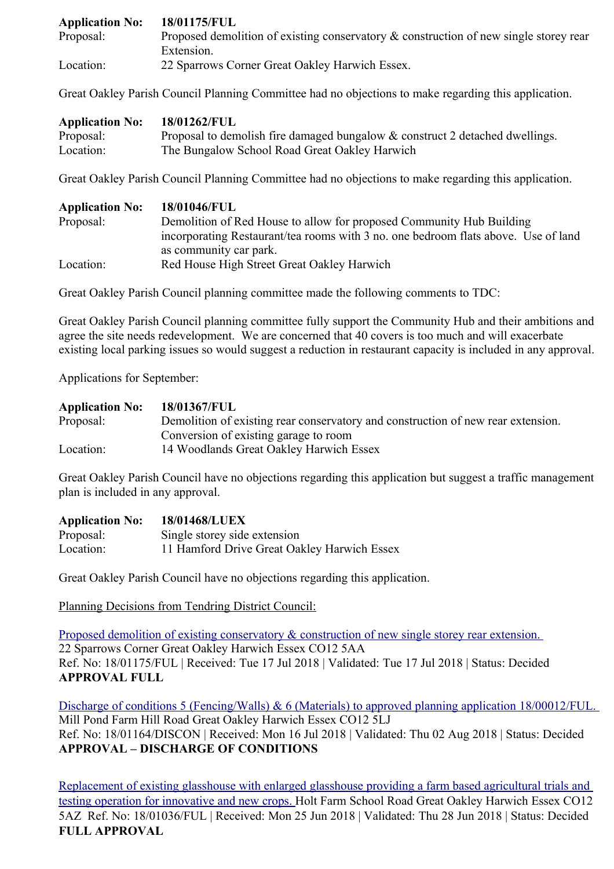| <b>Application No:</b> | 18/01175/FUL                                                                          |
|------------------------|---------------------------------------------------------------------------------------|
| Proposal:              | Proposed demolition of existing conservatory & construction of new single storey rear |
|                        | Extension.                                                                            |
| Location:              | 22 Sparrows Corner Great Oakley Harwich Essex.                                        |

Great Oakley Parish Council Planning Committee had no objections to make regarding this application.

| <b>Application No:</b> | 18/01262/FUL                                                                 |
|------------------------|------------------------------------------------------------------------------|
| Proposal:              | Proposal to demolish fire damaged bungalow & construct 2 detached dwellings. |
| Location:              | The Bungalow School Road Great Oakley Harwich                                |

Great Oakley Parish Council Planning Committee had no objections to make regarding this application.

| <b>Application No:</b>                                                            | 18/01046/FUL                                                                       |  |
|-----------------------------------------------------------------------------------|------------------------------------------------------------------------------------|--|
| Proposal:<br>Demolition of Red House to allow for proposed Community Hub Building |                                                                                    |  |
|                                                                                   | incorporating Restaurant/tea rooms with 3 no. one bedroom flats above. Use of land |  |
|                                                                                   | as community car park.                                                             |  |
| Location:                                                                         | Red House High Street Great Oakley Harwich                                         |  |

Great Oakley Parish Council planning committee made the following comments to TDC:

Great Oakley Parish Council planning committee fully support the Community Hub and their ambitions and agree the site needs redevelopment. We are concerned that 40 covers is too much and will exacerbate existing local parking issues so would suggest a reduction in restaurant capacity is included in any approval.

Applications for September:

| <b>Application No:</b> | 18/01367/FUL                                                                     |
|------------------------|----------------------------------------------------------------------------------|
| Proposal:              | Demolition of existing rear conservatory and construction of new rear extension. |
|                        | Conversion of existing garage to room                                            |
| Location:              | 14 Woodlands Great Oakley Harwich Essex                                          |

Great Oakley Parish Council have no objections regarding this application but suggest a traffic management plan is included in any approval.

| <b>Application No:</b> | <b>18/01468/LUEX</b>                        |
|------------------------|---------------------------------------------|
| Proposal:              | Single storey side extension                |
| Location:              | 11 Hamford Drive Great Oakley Harwich Essex |

Great Oakley Parish Council have no objections regarding this application.

Planning Decisions from Tendring District Council:

Proposed demolition of existing conservatory & construction of new single storey rear extension. 22 Sparrows Corner Great Oakley Harwich Essex CO12 5AA Ref. No: 18/01175/FUL | Received: Tue 17 Jul 2018 | Validated: Tue 17 Jul 2018 | Status: Decided **APPROVAL FULL**

Discharge of conditions 5 (Fencing/Walls) & 6 (Materials) to approved planning application 18/00012/FUL. Mill Pond Farm Hill Road Great Oakley Harwich Essex CO12 5LJ Ref. No: 18/01164/DISCON | Received: Mon 16 Jul 2018 | Validated: Thu 02 Aug 2018 | Status: Decided **APPROVAL – DISCHARGE OF CONDITIONS**

[Replacement of existing glasshouse with enlarged glasshouse providing a farm based agricultural trials and](https://idox.tendringdc.gov.uk/online-applications/applicationDetails.do?keyVal=PAVXRWQB0KO00&activeTab=summary)  [testing operation for innovative and new crops. H](https://idox.tendringdc.gov.uk/online-applications/applicationDetails.do?keyVal=PAVXRWQB0KO00&activeTab=summary)olt Farm School Road Great Oakley Harwich Essex CO12 5AZ Ref. No: 18/01036/FUL | Received: Mon 25 Jun 2018 | Validated: Thu 28 Jun 2018 | Status: Decided **FULL APPROVAL**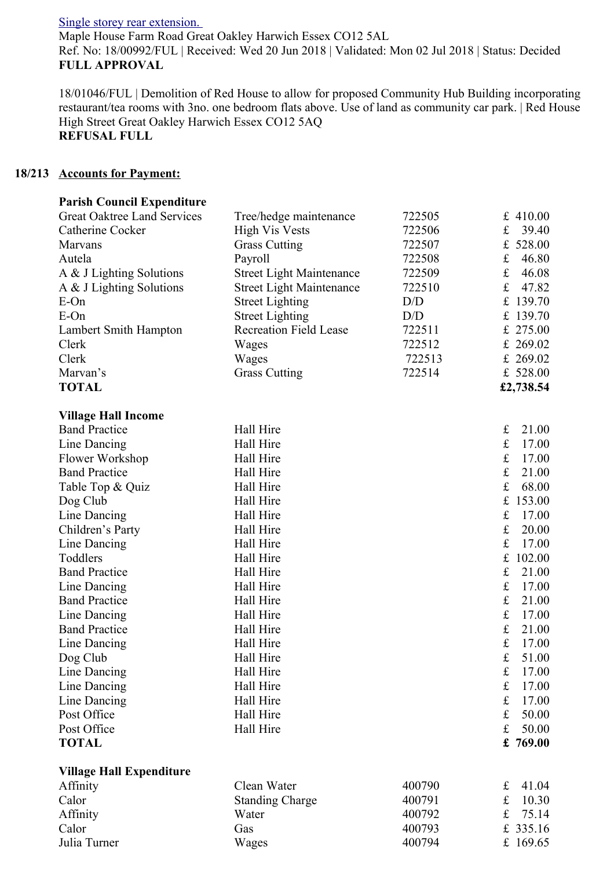[Single storey rear extension.](https://idox.tendringdc.gov.uk/online-applications/applicationDetails.do?keyVal=PAMCFCQB0EL00&activeTab=summary) 

Maple House Farm Road Great Oakley Harwich Essex CO12 5AL Ref. No: 18/00992/FUL | Received: Wed 20 Jun 2018 | Validated: Mon 02 Jul 2018 | Status: Decided **FULL APPROVAL**

18/01046/FUL | Demolition of Red House to allow for proposed Community Hub Building incorporating restaurant/tea rooms with 3no. one bedroom flats above. Use of land as community car park. | Red House High Street Great Oakley Harwich Essex CO12 5AQ **REFUSAL FULL**

#### **18/213 Accounts for Payment:**

| <b>Parish Council Expenditure</b>  |                                 |        |                       |
|------------------------------------|---------------------------------|--------|-----------------------|
| <b>Great Oaktree Land Services</b> | Tree/hedge maintenance          | 722505 | £ 410.00              |
| Catherine Cocker                   | <b>High Vis Vests</b>           | 722506 | $\mathbf f$<br>39.40  |
| <b>Marvans</b>                     | <b>Grass Cutting</b>            | 722507 | £ 528.00              |
| Autela                             | Payroll                         | 722508 | $\pounds$<br>46.80    |
| A & J Lighting Solutions           | <b>Street Light Maintenance</b> | 722509 | $\pounds$<br>46.08    |
| A & J Lighting Solutions           | <b>Street Light Maintenance</b> | 722510 | $\mathbf f$<br>47.82  |
| $E$ -On                            | <b>Street Lighting</b>          | D/D    | £ 139.70              |
| $E$ -On                            | <b>Street Lighting</b>          | D/D    | £ 139.70              |
| Lambert Smith Hampton              | <b>Recreation Field Lease</b>   | 722511 | £ 275.00              |
| Clerk                              | Wages                           | 722512 | £ 269.02              |
| Clerk                              | Wages                           | 722513 | £ 269.02              |
| Marvan's                           | <b>Grass Cutting</b>            | 722514 | £ 528.00              |
| <b>TOTAL</b>                       |                                 |        | £2,738.54             |
| <b>Village Hall Income</b>         |                                 |        |                       |
| <b>Band Practice</b>               | Hall Hire                       |        | £<br>21.00            |
| Line Dancing                       | Hall Hire                       |        | $\pounds$<br>17.00    |
| Flower Workshop                    | Hall Hire                       |        | $\mathbf f$<br>17.00  |
| <b>Band Practice</b>               | Hall Hire                       |        | $\mathbf f$<br>21.00  |
| Table Top & Quiz                   | Hall Hire                       |        | $\mathbf f$<br>68.00  |
| Dog Club                           | Hall Hire                       |        | $\mathbf f$<br>153.00 |
| Line Dancing                       | Hall Hire                       |        | $\pounds$<br>17.00    |
| Children's Party                   | Hall Hire                       |        | $\mathbf f$<br>20.00  |
| Line Dancing                       | Hall Hire                       |        | $\pounds$<br>17.00    |
| Toddlers                           | Hall Hire                       |        | $\mathbf f$<br>102.00 |
| <b>Band Practice</b>               | Hall Hire                       |        | $\pounds$<br>21.00    |
| Line Dancing                       | Hall Hire                       |        | $\mathbf f$<br>17.00  |
| <b>Band Practice</b>               | Hall Hire                       |        | $\mathbf f$<br>21.00  |
| Line Dancing                       | Hall Hire                       |        | $\pounds$<br>17.00    |
| <b>Band Practice</b>               | Hall Hire                       |        | $\mathbf f$<br>21.00  |
| Line Dancing                       | Hall Hire                       |        | $\mathbf f$<br>17.00  |
| Dog Club                           | Hall Hire                       |        | $\pounds$<br>51.00    |
| Line Dancing                       | Hall Hire                       |        | $\pounds$<br>17.00    |
| Line Dancing                       | Hall Hire                       |        | $\mathbf f$<br>17.00  |
| Line Dancing                       | Hall Hire                       |        | $\pounds$<br>17.00    |
| Post Office                        | Hall Hire                       |        | $\mathbf f$<br>50.00  |
| Post Office                        | Hall Hire                       |        | $\pounds$<br>50.00    |
| <b>TOTAL</b>                       |                                 |        | £ 769.00              |
| <b>Village Hall Expenditure</b>    |                                 |        |                       |
| Affinity                           | Clean Water                     | 400790 | $\mathbf f$<br>41.04  |
| Calor                              | <b>Standing Charge</b>          | 400791 | $\pounds$<br>10.30    |
| Affinity                           | Water                           | 400792 | $\mathbf f$<br>75.14  |
| Calor                              | Gas                             | 400793 | £ 335.16              |

Julia Turner **Constructs** Wages 400794 £ 169.65